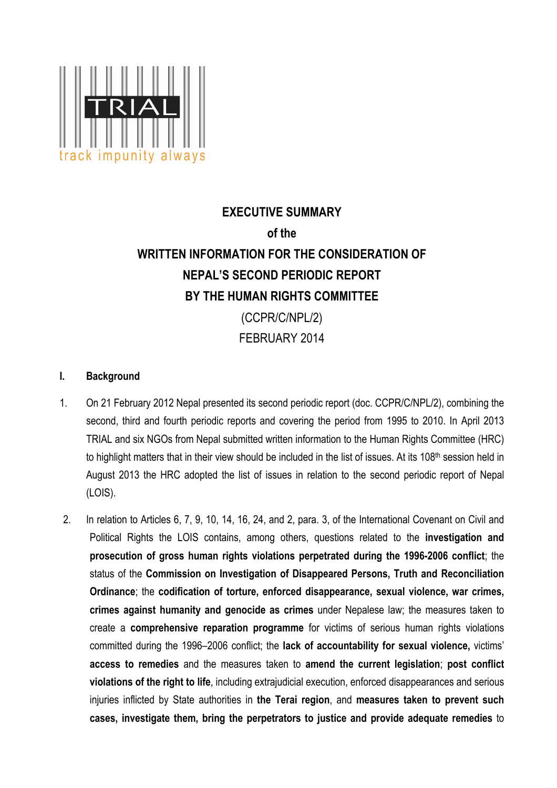

# **EXECUTIVE SUMMARY of the WRITTEN INFORMATION FOR THE CONSIDERATION OF NEPAL'S SECOND PERIODIC REPORT BY THE HUMAN RIGHTS COMMITTEE**  (CCPR/C/NPL/2)

FEBRUARY 2014

#### **I. Background**

- 1. On 21 February 2012 Nepal presented its second periodic report (doc. CCPR/C/NPL/2), combining the second, third and fourth periodic reports and covering the period from 1995 to 2010. In April 2013 TRIAL and six NGOs from Nepal submitted written information to the Human Rights Committee (HRC) to highlight matters that in their view should be included in the list of issues. At its 108<sup>th</sup> session held in August 2013 the HRC adopted the list of issues in relation to the second periodic report of Nepal (LOIS).
- 2. In relation to Articles 6, 7, 9, 10, 14, 16, 24, and 2, para. 3, of the International Covenant on Civil and Political Rights the LOIS contains, among others, questions related to the **investigation and prosecution of gross human rights violations perpetrated during the 1996-2006 conflict**; the status of the **Commission on Investigation of Disappeared Persons, Truth and Reconciliation Ordinance**; the **codification of torture, enforced disappearance, sexual violence, war crimes, crimes against humanity and genocide as crimes** under Nepalese law; the measures taken to create a **comprehensive reparation programme** for victims of serious human rights violations committed during the 1996–2006 conflict; the **lack of accountability for sexual violence,** victims' **access to remedies** and the measures taken to **amend the current legislation**; **post conflict violations of the right to life**, including extrajudicial execution, enforced disappearances and serious injuries inflicted by State authorities in **the Terai region**, and **measures taken to prevent such cases, investigate them, bring the perpetrators to justice and provide adequate remedies** to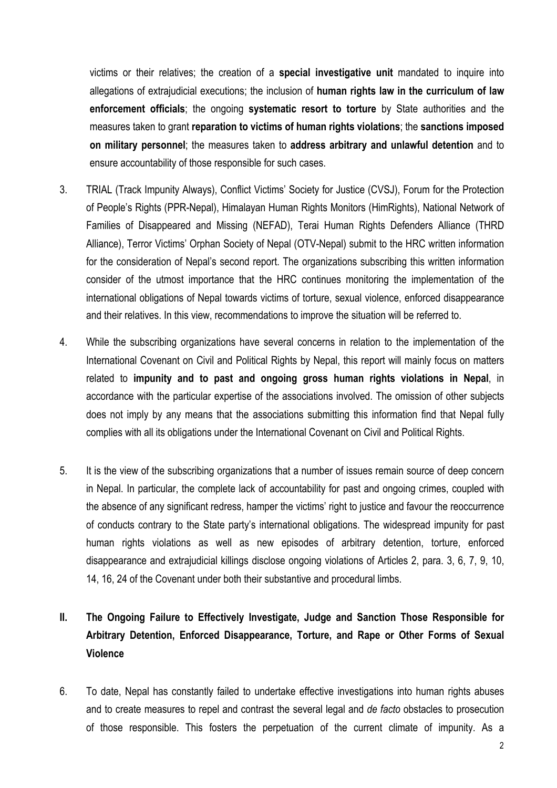victims or their relatives; the creation of a **special investigative unit** mandated to inquire into allegations of extrajudicial executions; the inclusion of **human rights law in the curriculum of law enforcement officials**; the ongoing **systematic resort to torture** by State authorities and the measures taken to grant **reparation to victims of human rights violations**; the **sanctions imposed on military personnel**; the measures taken to **address arbitrary and unlawful detention** and to ensure accountability of those responsible for such cases.

- 3. TRIAL (Track Impunity Always), Conflict Victims' Society for Justice (CVSJ), Forum for the Protection of People's Rights (PPR-Nepal), Himalayan Human Rights Monitors (HimRights), National Network of Families of Disappeared and Missing (NEFAD), Terai Human Rights Defenders Alliance (THRD Alliance), Terror Victims' Orphan Society of Nepal (OTV-Nepal) submit to the HRC written information for the consideration of Nepal's second report. The organizations subscribing this written information consider of the utmost importance that the HRC continues monitoring the implementation of the international obligations of Nepal towards victims of torture, sexual violence, enforced disappearance and their relatives. In this view, recommendations to improve the situation will be referred to.
- 4. While the subscribing organizations have several concerns in relation to the implementation of the International Covenant on Civil and Political Rights by Nepal, this report will mainly focus on matters related to **impunity and to past and ongoing gross human rights violations in Nepal**, in accordance with the particular expertise of the associations involved. The omission of other subjects does not imply by any means that the associations submitting this information find that Nepal fully complies with all its obligations under the International Covenant on Civil and Political Rights.
- 5. It is the view of the subscribing organizations that a number of issues remain source of deep concern in Nepal. In particular, the complete lack of accountability for past and ongoing crimes, coupled with the absence of any significant redress, hamper the victims' right to justice and favour the reoccurrence of conducts contrary to the State party's international obligations. The widespread impunity for past human rights violations as well as new episodes of arbitrary detention, torture, enforced disappearance and extrajudicial killings disclose ongoing violations of Articles 2, para. 3, 6, 7, 9, 10, 14, 16, 24 of the Covenant under both their substantive and procedural limbs.

# **II. The Ongoing Failure to Effectively Investigate, Judge and Sanction Those Responsible for Arbitrary Detention, Enforced Disappearance, Torture, and Rape or Other Forms of Sexual Violence**

6. To date, Nepal has constantly failed to undertake effective investigations into human rights abuses and to create measures to repel and contrast the several legal and *de facto* obstacles to prosecution of those responsible. This fosters the perpetuation of the current climate of impunity. As a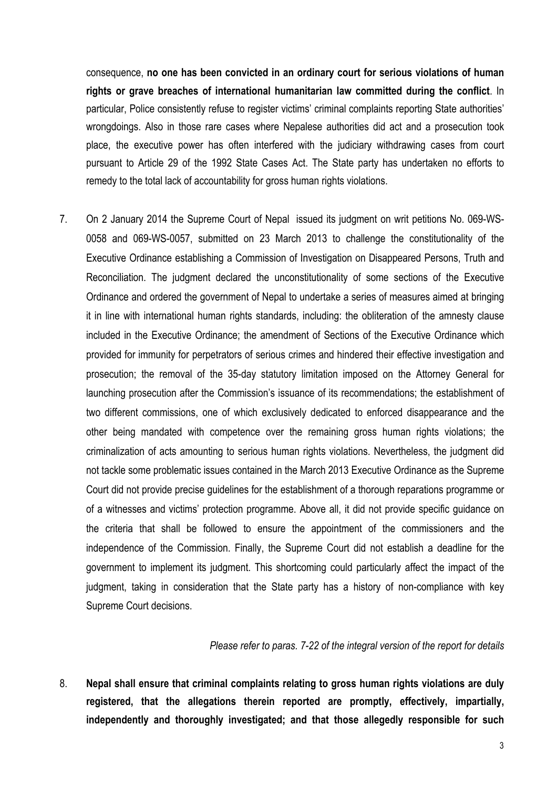consequence, **no one has been convicted in an ordinary court for serious violations of human rights or grave breaches of international humanitarian law committed during the conflict**. In particular, Police consistently refuse to register victims' criminal complaints reporting State authorities' wrongdoings. Also in those rare cases where Nepalese authorities did act and a prosecution took place, the executive power has often interfered with the judiciary withdrawing cases from court pursuant to Article 29 of the 1992 State Cases Act. The State party has undertaken no efforts to remedy to the total lack of accountability for gross human rights violations.

7. On 2 January 2014 the Supreme Court of Nepal issued its judgment on writ petitions No. 069-WS-0058 and 069-WS-0057, submitted on 23 March 2013 to challenge the constitutionality of the Executive Ordinance establishing a Commission of Investigation on Disappeared Persons, Truth and Reconciliation. The judgment declared the unconstitutionality of some sections of the Executive Ordinance and ordered the government of Nepal to undertake a series of measures aimed at bringing it in line with international human rights standards, including: the obliteration of the amnesty clause included in the Executive Ordinance; the amendment of Sections of the Executive Ordinance which provided for immunity for perpetrators of serious crimes and hindered their effective investigation and prosecution; the removal of the 35-day statutory limitation imposed on the Attorney General for launching prosecution after the Commission's issuance of its recommendations; the establishment of two different commissions, one of which exclusively dedicated to enforced disappearance and the other being mandated with competence over the remaining gross human rights violations; the criminalization of acts amounting to serious human rights violations. Nevertheless, the judgment did not tackle some problematic issues contained in the March 2013 Executive Ordinance as the Supreme Court did not provide precise guidelines for the establishment of a thorough reparations programme or of a witnesses and victims' protection programme. Above all, it did not provide specific guidance on the criteria that shall be followed to ensure the appointment of the commissioners and the independence of the Commission. Finally, the Supreme Court did not establish a deadline for the government to implement its judgment. This shortcoming could particularly affect the impact of the judgment, taking in consideration that the State party has a history of non-compliance with key Supreme Court decisions.

#### *Please refer to paras. 7-22 of the integral version of the report for details*

8. **Nepal shall ensure that criminal complaints relating to gross human rights violations are duly registered, that the allegations therein reported are promptly, effectively, impartially, independently and thoroughly investigated; and that those allegedly responsible for such**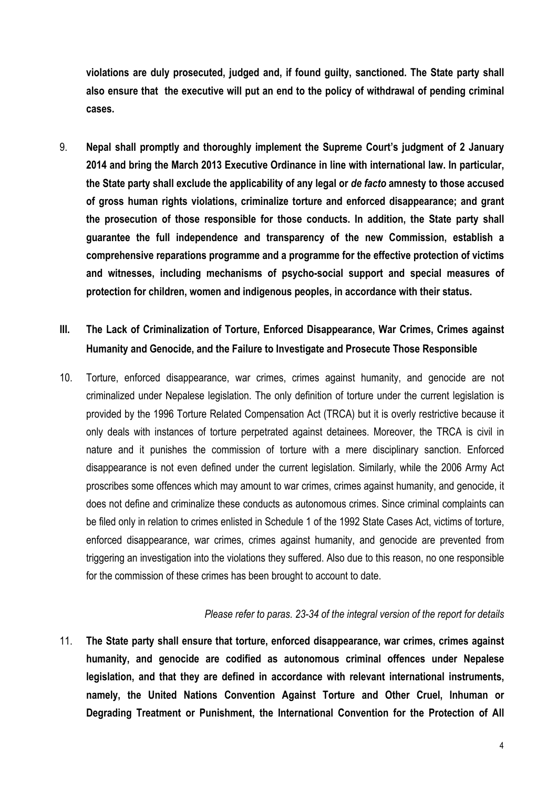**violations are duly prosecuted, judged and, if found guilty, sanctioned. The State party shall also ensure that the executive will put an end to the policy of withdrawal of pending criminal cases.**

9. **Nepal shall promptly and thoroughly implement the Supreme Court's judgment of 2 January 2014 and bring the March 2013 Executive Ordinance in line with international law. In particular, the State party shall exclude the applicability of any legal or** *de facto* **amnesty to those accused of gross human rights violations, criminalize torture and enforced disappearance; and grant the prosecution of those responsible for those conducts. In addition, the State party shall guarantee the full independence and transparency of the new Commission, establish a comprehensive reparations programme and a programme for the effective protection of victims and witnesses, including mechanisms of psycho-social support and special measures of protection for children, women and indigenous peoples, in accordance with their status.** 

# **III. The Lack of Criminalization of Torture, Enforced Disappearance, War Crimes, Crimes against Humanity and Genocide, and the Failure to Investigate and Prosecute Those Responsible**

10. Torture, enforced disappearance, war crimes, crimes against humanity, and genocide are not criminalized under Nepalese legislation. The only definition of torture under the current legislation is provided by the 1996 Torture Related Compensation Act (TRCA) but it is overly restrictive because it only deals with instances of torture perpetrated against detainees. Moreover, the TRCA is civil in nature and it punishes the commission of torture with a mere disciplinary sanction. Enforced disappearance is not even defined under the current legislation. Similarly, while the 2006 Army Act proscribes some offences which may amount to war crimes, crimes against humanity, and genocide, it does not define and criminalize these conducts as autonomous crimes. Since criminal complaints can be filed only in relation to crimes enlisted in Schedule 1 of the 1992 State Cases Act, victims of torture, enforced disappearance, war crimes, crimes against humanity, and genocide are prevented from triggering an investigation into the violations they suffered. Also due to this reason, no one responsible for the commission of these crimes has been brought to account to date.

#### *Please refer to paras. 23-34 of the integral version of the report for details*

11. **The State party shall ensure that torture, enforced disappearance, war crimes, crimes against humanity, and genocide are codified as autonomous criminal offences under Nepalese legislation, and that they are defined in accordance with relevant international instruments, namely, the United Nations Convention Against Torture and Other Cruel, Inhuman or Degrading Treatment or Punishment, the International Convention for the Protection of All**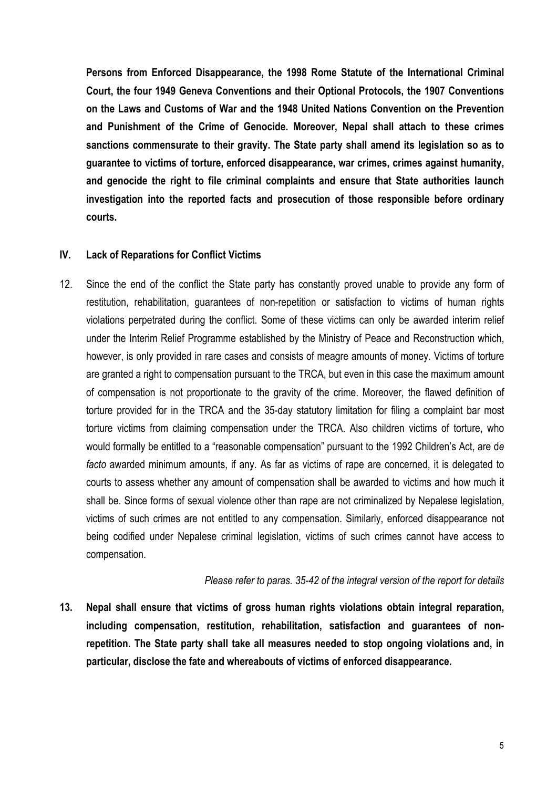**Persons from Enforced Disappearance, the 1998 Rome Statute of the International Criminal Court, the four 1949 Geneva Conventions and their Optional Protocols, the 1907 Conventions on the Laws and Customs of War and the 1948 United Nations Convention on the Prevention and Punishment of the Crime of Genocide. Moreover, Nepal shall attach to these crimes sanctions commensurate to their gravity. The State party shall amend its legislation so as to guarantee to victims of torture, enforced disappearance, war crimes, crimes against humanity, and genocide the right to file criminal complaints and ensure that State authorities launch investigation into the reported facts and prosecution of those responsible before ordinary courts.**

#### **IV. Lack of Reparations for Conflict Victims**

12. Since the end of the conflict the State party has constantly proved unable to provide any form of restitution, rehabilitation, guarantees of non-repetition or satisfaction to victims of human rights violations perpetrated during the conflict. Some of these victims can only be awarded interim relief under the Interim Relief Programme established by the Ministry of Peace and Reconstruction which, however, is only provided in rare cases and consists of meagre amounts of money. Victims of torture are granted a right to compensation pursuant to the TRCA, but even in this case the maximum amount of compensation is not proportionate to the gravity of the crime. Moreover, the flawed definition of torture provided for in the TRCA and the 35-day statutory limitation for filing a complaint bar most torture victims from claiming compensation under the TRCA. Also children victims of torture, who would formally be entitled to a "reasonable compensation" pursuant to the 1992 Children's Act, are d*e facto* awarded minimum amounts, if any. As far as victims of rape are concerned, it is delegated to courts to assess whether any amount of compensation shall be awarded to victims and how much it shall be. Since forms of sexual violence other than rape are not criminalized by Nepalese legislation, victims of such crimes are not entitled to any compensation. Similarly, enforced disappearance not being codified under Nepalese criminal legislation, victims of such crimes cannot have access to compensation.

#### *Please refer to paras. 35-42 of the integral version of the report for details*

**13. Nepal shall ensure that victims of gross human rights violations obtain integral reparation, including compensation, restitution, rehabilitation, satisfaction and guarantees of nonrepetition. The State party shall take all measures needed to stop ongoing violations and, in particular, disclose the fate and whereabouts of victims of enforced disappearance.**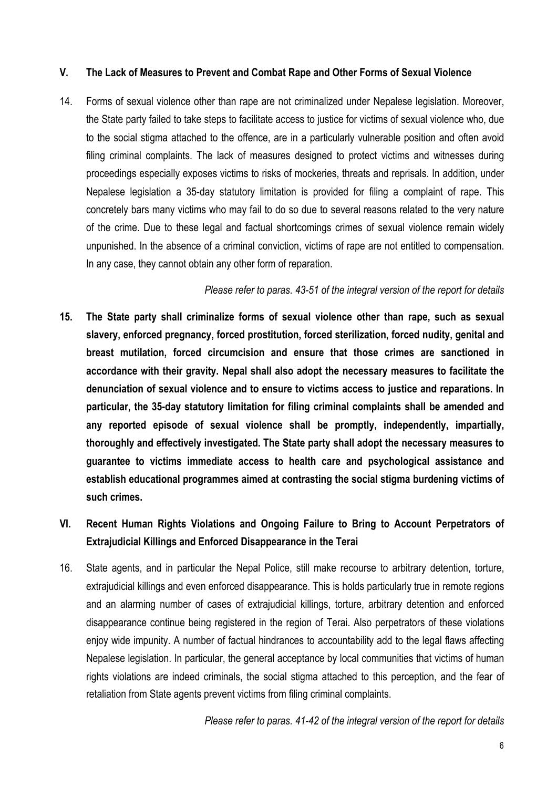#### **V. The Lack of Measures to Prevent and Combat Rape and Other Forms of Sexual Violence**

14. Forms of sexual violence other than rape are not criminalized under Nepalese legislation. Moreover, the State party failed to take steps to facilitate access to justice for victims of sexual violence who, due to the social stigma attached to the offence, are in a particularly vulnerable position and often avoid filing criminal complaints. The lack of measures designed to protect victims and witnesses during proceedings especially exposes victims to risks of mockeries, threats and reprisals. In addition, under Nepalese legislation a 35-day statutory limitation is provided for filing a complaint of rape. This concretely bars many victims who may fail to do so due to several reasons related to the very nature of the crime. Due to these legal and factual shortcomings crimes of sexual violence remain widely unpunished. In the absence of a criminal conviction, victims of rape are not entitled to compensation. In any case, they cannot obtain any other form of reparation.

#### *Please refer to paras. 43-51 of the integral version of the report for details*

- **15. The State party shall criminalize forms of sexual violence other than rape, such as sexual slavery, enforced pregnancy, forced prostitution, forced sterilization, forced nudity, genital and breast mutilation, forced circumcision and ensure that those crimes are sanctioned in accordance with their gravity. Nepal shall also adopt the necessary measures to facilitate the denunciation of sexual violence and to ensure to victims access to justice and reparations. In particular, the 35-day statutory limitation for filing criminal complaints shall be amended and any reported episode of sexual violence shall be promptly, independently, impartially, thoroughly and effectively investigated. The State party shall adopt the necessary measures to guarantee to victims immediate access to health care and psychological assistance and establish educational programmes aimed at contrasting the social stigma burdening victims of such crimes.**
- **VI. Recent Human Rights Violations and Ongoing Failure to Bring to Account Perpetrators of Extrajudicial Killings and Enforced Disappearance in the Terai**
- 16. State agents, and in particular the Nepal Police, still make recourse to arbitrary detention, torture, extrajudicial killings and even enforced disappearance. This is holds particularly true in remote regions and an alarming number of cases of extrajudicial killings, torture, arbitrary detention and enforced disappearance continue being registered in the region of Terai. Also perpetrators of these violations enjoy wide impunity. A number of factual hindrances to accountability add to the legal flaws affecting Nepalese legislation. In particular, the general acceptance by local communities that victims of human rights violations are indeed criminals, the social stigma attached to this perception, and the fear of retaliation from State agents prevent victims from filing criminal complaints.

*Please refer to paras. 41-42 of the integral version of the report for details*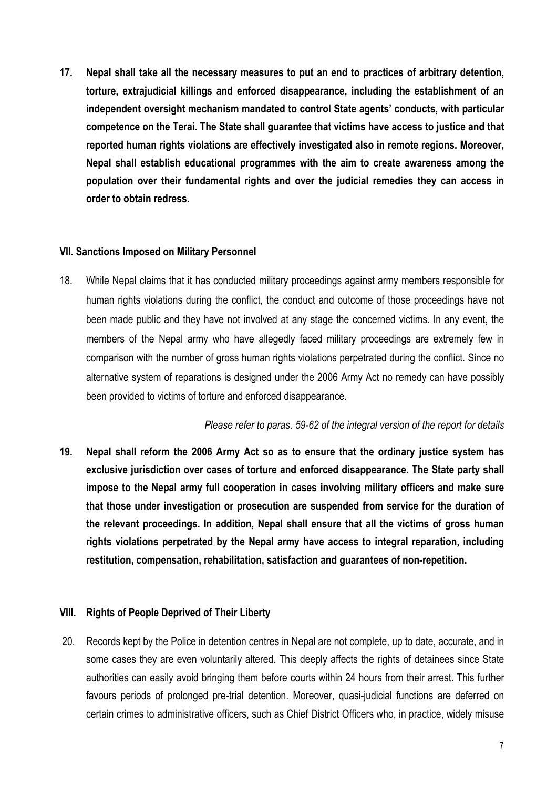**17. Nepal shall take all the necessary measures to put an end to practices of arbitrary detention, torture, extrajudicial killings and enforced disappearance, including the establishment of an independent oversight mechanism mandated to control State agents' conducts, with particular competence on the Terai. The State shall guarantee that victims have access to justice and that reported human rights violations are effectively investigated also in remote regions. Moreover, Nepal shall establish educational programmes with the aim to create awareness among the population over their fundamental rights and over the judicial remedies they can access in order to obtain redress.**

#### **VII. Sanctions Imposed on Military Personnel**

18. While Nepal claims that it has conducted military proceedings against army members responsible for human rights violations during the conflict, the conduct and outcome of those proceedings have not been made public and they have not involved at any stage the concerned victims. In any event, the members of the Nepal army who have allegedly faced military proceedings are extremely few in comparison with the number of gross human rights violations perpetrated during the conflict. Since no alternative system of reparations is designed under the 2006 Army Act no remedy can have possibly been provided to victims of torture and enforced disappearance.

#### *Please refer to paras. 59-62 of the integral version of the report for details*

**19. Nepal shall reform the 2006 Army Act so as to ensure that the ordinary justice system has exclusive jurisdiction over cases of torture and enforced disappearance. The State party shall impose to the Nepal army full cooperation in cases involving military officers and make sure that those under investigation or prosecution are suspended from service for the duration of the relevant proceedings. In addition, Nepal shall ensure that all the victims of gross human rights violations perpetrated by the Nepal army have access to integral reparation, including restitution, compensation, rehabilitation, satisfaction and guarantees of non-repetition.**

#### **VIII. Rights of People Deprived of Their Liberty**

20. Records kept by the Police in detention centres in Nepal are not complete, up to date, accurate, and in some cases they are even voluntarily altered. This deeply affects the rights of detainees since State authorities can easily avoid bringing them before courts within 24 hours from their arrest. This further favours periods of prolonged pre-trial detention. Moreover, quasi-judicial functions are deferred on certain crimes to administrative officers, such as Chief District Officers who, in practice, widely misuse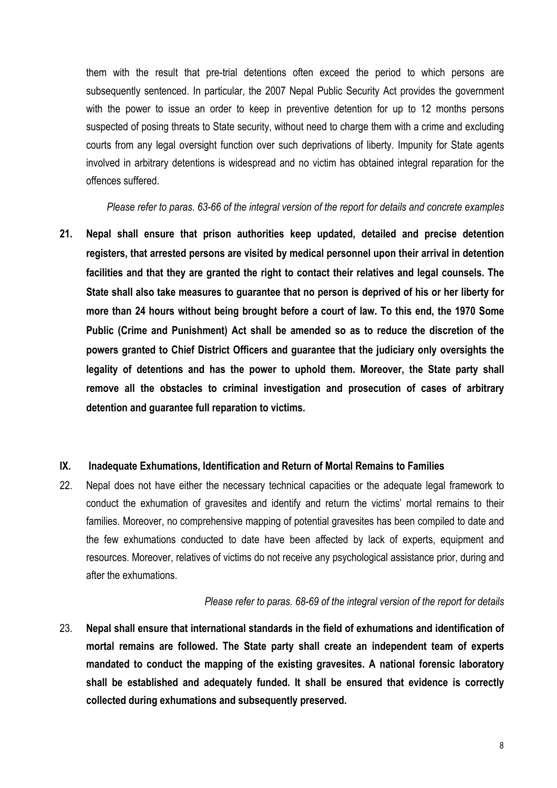them with the result that pre-trial detentions often exceed the period to which persons are subsequently sentenced. In particular, the 2007 Nepal Public Security Act provides the government with the power to issue an order to keep in preventive detention for up to 12 months persons suspected of posing threats to State security, without need to charge them with a crime and excluding courts from any legal oversight function over such deprivations of liberty. Impunity for State agents involved in arbitrary detentions is widespread and no victim has obtained integral reparation for the offences suffered.

*Please refer to paras. 63-66 of the integral version of the report for details and concrete examples*

**21. Nepal shall ensure that prison authorities keep updated, detailed and precise detention registers, that arrested persons are visited by medical personnel upon their arrival in detention facilities and that they are granted the right to contact their relatives and legal counsels. The State shall also take measures to guarantee that no person is deprived of his or her liberty for more than 24 hours without being brought before a court of law. To this end, the 1970 Some Public (Crime and Punishment) Act shall be amended so as to reduce the discretion of the powers granted to Chief District Officers and guarantee that the judiciary only oversights the legality of detentions and has the power to uphold them. Moreover, the State party shall remove all the obstacles to criminal investigation and prosecution of cases of arbitrary detention and guarantee full reparation to victims.**

#### **IX. Inadequate Exhumations, Identification and Return of Mortal Remains to Families**

22. Nepal does not have either the necessary technical capacities or the adequate legal framework to conduct the exhumation of gravesites and identify and return the victims' mortal remains to their families. Moreover, no comprehensive mapping of potential gravesites has been compiled to date and the few exhumations conducted to date have been affected by lack of experts, equipment and resources. Moreover, relatives of victims do not receive any psychological assistance prior, during and after the exhumations.

#### *Please refer to paras. 68-69 of the integral version of the report for details*

23. **Nepal shall ensure that international standards in the field of exhumations and identification of mortal remains are followed. The State party shall create an independent team of experts mandated to conduct the mapping of the existing gravesites. A national forensic laboratory shall be established and adequately funded. It shall be ensured that evidence is correctly collected during exhumations and subsequently preserved.**